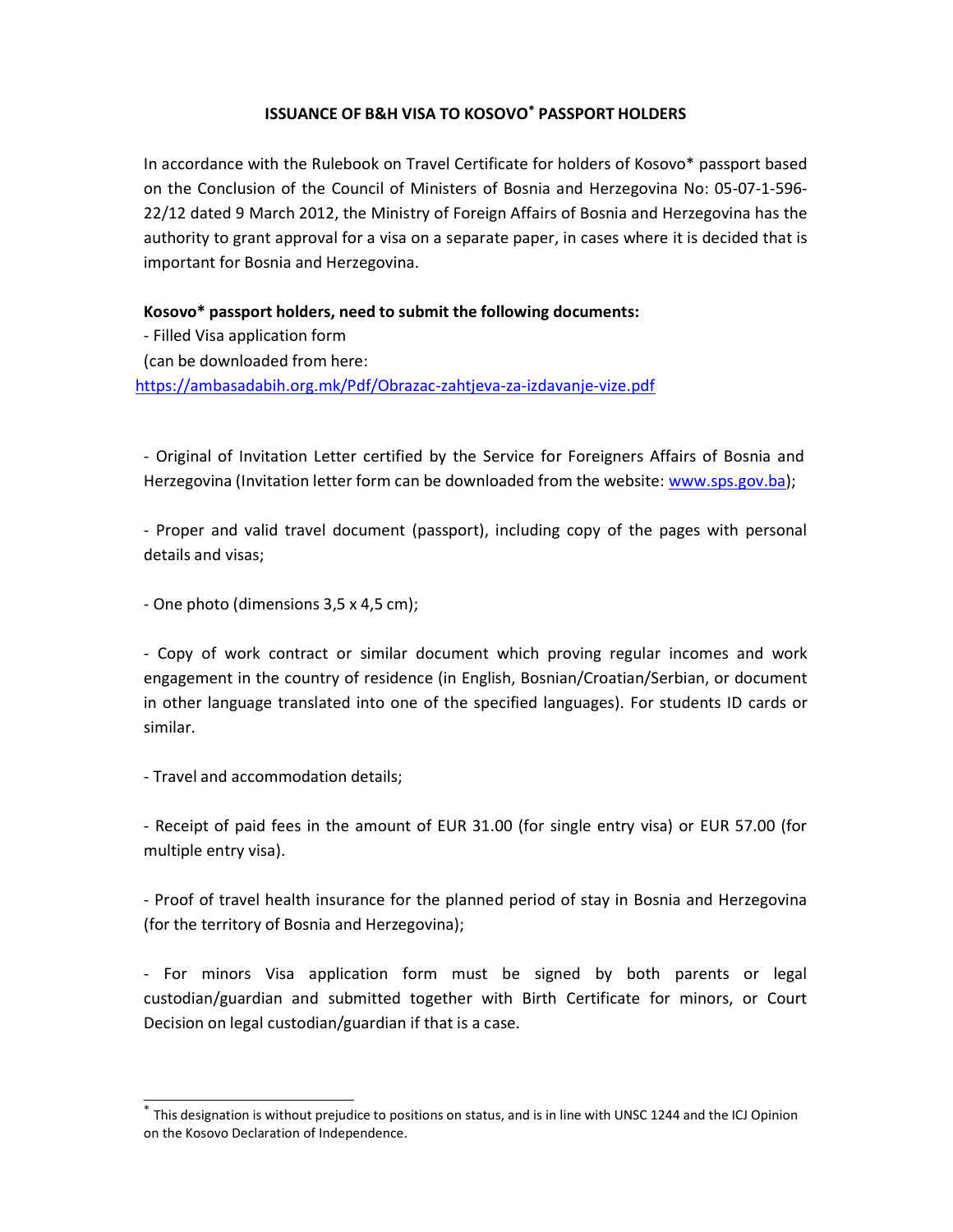## **ISSUANCE OF B&H VISA TO KOSOVO<sup>\*</sup> PASSPORT HOLDERS**

In accordance with the Rulebook on Travel Certificate for holders of Kosovo\* passport based on the Conclusion of the Council of Ministers of Bosnia and Herzegovina No: 05-07-1-596- 22/12 dated 9 March 2012, the Ministry of Foreign Affairs of Bosnia and Herzegovina has the authority to grant approval for a visa on a separate paper, in cases where it is decided that is important for Bosnia and Herzegovina.

Kosovo\* passport holders, need to submit the following documents:

- Filled Visa application form (can be downloaded from here: https://ambasadabih.org.mk/Pdf/Obrazac-zahtjeva-za-izdavanje-vize.pdf

- Original of Invitation Letter certified by the Service for Foreigners Affairs of Bosnia and Herzegovina (Invitation letter form can be downloaded from the website: www.sps.gov.ba);

- Proper and valid travel document (passport), including copy of the pages with personal details and visas;

- One photo (dimensions 3,5 x 4,5 cm);

- Copy of work contract or similar document which proving regular incomes and work engagement in the country of residence (in English, Bosnian/Croatian/Serbian, or document in other language translated into one of the specified languages). For students ID cards or similar.

- Travel and accommodation details;

- Receipt of paid fees in the amount of EUR 31.00 (for single entry visa) or EUR 57.00 (for multiple entry visa).

- Proof of travel health insurance for the planned period of stay in Bosnia and Herzegovina (for the territory of Bosnia and Herzegovina);

- For minors Visa application form must be signed by both parents or legal custodian/guardian and submitted together with Birth Certificate for minors, or Court Decision on legal custodian/guardian if that is a case.

 $^*$  This designation is without prejudice to positions on status, and is in line with UNSC 1244 and the ICJ Opinion on the Kosovo Declaration of Independence.